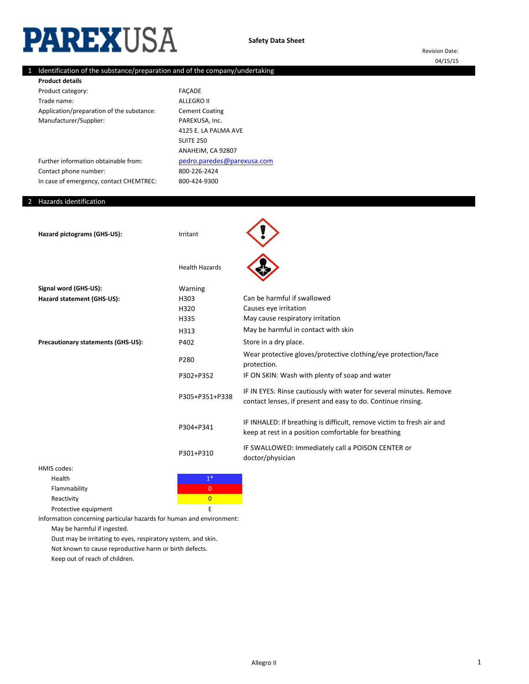# **PAREXUSA**

Revision Date: 04/15/15

## 1 Identification of the substance/preparation and of the company/undertaking

| <b>Product details</b>                    |                            |
|-------------------------------------------|----------------------------|
| Product category:                         | <b>FACADE</b>              |
| Trade name:                               | ALLEGRO II                 |
| Application/preparation of the substance: | <b>Cement Coating</b>      |
| Manufacturer/Supplier:                    | PAREXUSA, Inc.             |
|                                           | 4125 E. LA PALMA AVE       |
|                                           | SUITE 250                  |
|                                           | ANAHEIM, CA 92807          |
| Further information obtainable from:      | pedro.paredes@parexusa.com |
| Contact phone number:                     | 800-226-2424               |
| In case of emergency, contact CHEMTREC:   | 800-424-9300               |
|                                           |                            |

#### 2 Hazards identification

| Hazard pictograms (GHS-US):               | Irritant              |                                                                                                                                     |
|-------------------------------------------|-----------------------|-------------------------------------------------------------------------------------------------------------------------------------|
|                                           | <b>Health Hazards</b> |                                                                                                                                     |
| Signal word (GHS-US):                     | Warning               |                                                                                                                                     |
| Hazard statement (GHS-US):                | H303                  | Can be harmful if swallowed                                                                                                         |
|                                           | H320                  | Causes eye irritation                                                                                                               |
|                                           | H335                  | May cause respiratory irritation                                                                                                    |
|                                           | H313                  | May be harmful in contact with skin                                                                                                 |
| <b>Precautionary statements (GHS-US):</b> | P402                  | Store in a dry place.                                                                                                               |
|                                           | P280                  | Wear protective gloves/protective clothing/eye protection/face<br>protection.                                                       |
|                                           | P302+P352             | IF ON SKIN: Wash with plenty of soap and water                                                                                      |
|                                           | P305+P351+P338        | IF IN EYES: Rinse cautiously with water for several minutes. Remove<br>contact lenses, if present and easy to do. Continue rinsing. |
|                                           | P304+P341             | IF INHALED: If breathing is difficult, remove victim to fresh air and<br>keep at rest in a position comfortable for breathing       |
|                                           | P301+P310             | IF SWALLOWED: Immediately call a POISON CENTER or<br>doctor/physician                                                               |
| HMIS codes:                               |                       |                                                                                                                                     |

# is codes:<br>………

| Health               |  |
|----------------------|--|
| Flammability         |  |
| Reactivity           |  |
| Protective equipment |  |

Information concerning particular hazards for human and environment:

May be harmful if ingested.

Dust may be irritating to eyes, respiratory system, and skin.

Not known to cause reproductive harm or birth defects.

Keep out of reach of children.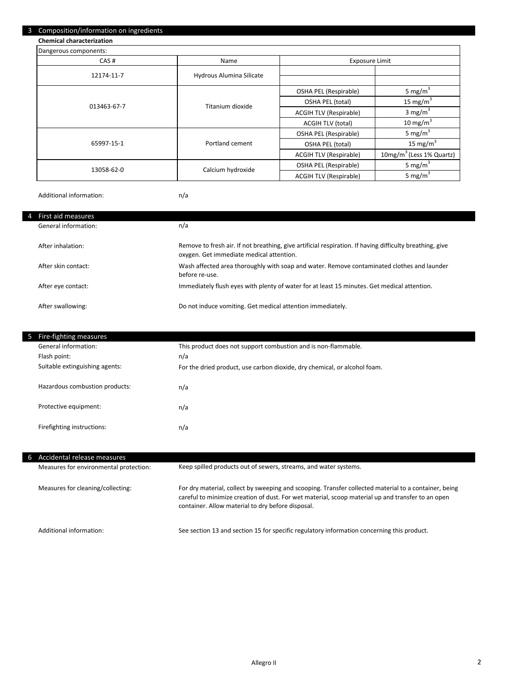### 3 Composition/information on ingredients

**Chemical characterization**

| Dangerous components: |                          |                               |                                      |
|-----------------------|--------------------------|-------------------------------|--------------------------------------|
| CAS#                  | Name                     | <b>Exposure Limit</b>         |                                      |
| 12174-11-7            | Hydrous Alumina Silicate |                               |                                      |
|                       |                          |                               |                                      |
|                       | Titanium dioxide         | OSHA PEL (Respirable)         | 5 mg/m <sup>3</sup>                  |
| 013463-67-7           |                          | OSHA PEL (total)              | 15 mg/m <sup>3</sup>                 |
|                       |                          | <b>ACGIH TLV (Respirable)</b> | 3 mg/m <sup>3</sup>                  |
|                       |                          | <b>ACGIH TLV (total)</b>      | 10 mg/m $3$                          |
|                       | Portland cement          | OSHA PEL (Respirable)         | 5 mg/m $3$                           |
| 65997-15-1            |                          | OSHA PEL (total)              | 15 mg/m <sup>3</sup>                 |
|                       |                          | <b>ACGIH TLV (Respirable)</b> | 10mg/m <sup>3</sup> (Less 1% Quartz) |
| 13058-62-0            | Calcium hydroxide        | OSHA PEL (Respirable)         | 5 mg/m <sup>3</sup>                  |
|                       |                          | <b>ACGIH TLV (Respirable)</b> | 5 mg/m <sup>3</sup>                  |

Additional information:

n/a

| First aid measures<br>4 |                                                                                                                                                      |
|-------------------------|------------------------------------------------------------------------------------------------------------------------------------------------------|
| General information:    | n/a                                                                                                                                                  |
| After inhalation:       | Remove to fresh air. If not breathing, give artificial respiration. If having difficulty breathing, give<br>oxygen. Get immediate medical attention. |
| After skin contact:     | Wash affected area thoroughly with soap and water. Remove contaminated clothes and launder<br>before re-use.                                         |
| After eye contact:      | Immediately flush eyes with plenty of water for at least 15 minutes. Get medical attention.                                                          |
| After swallowing:       | Do not induce vomiting. Get medical attention immediately.                                                                                           |

| Ь | Fire-fighting measures         |                                                                           |
|---|--------------------------------|---------------------------------------------------------------------------|
|   | General information:           | This product does not support combustion and is non-flammable.            |
|   | Flash point:                   | n/a                                                                       |
|   | Suitable extinguishing agents: | For the dried product, use carbon dioxide, dry chemical, or alcohol foam. |
|   | Hazardous combustion products: | n/a                                                                       |
|   | Protective equipment:          | n/a                                                                       |
|   | Firefighting instructions:     | n/a                                                                       |

| ъ. | Accidental release measures            |                                                                                                                                                                                                                                                                 |  |
|----|----------------------------------------|-----------------------------------------------------------------------------------------------------------------------------------------------------------------------------------------------------------------------------------------------------------------|--|
|    | Measures for environmental protection: | Keep spilled products out of sewers, streams, and water systems.                                                                                                                                                                                                |  |
|    | Measures for cleaning/collecting:      | For dry material, collect by sweeping and scooping. Transfer collected material to a container, being<br>careful to minimize creation of dust. For wet material, scoop material up and transfer to an open<br>container. Allow material to dry before disposal. |  |
|    | Additional information:                | See section 13 and section 15 for specific regulatory information concerning this product.                                                                                                                                                                      |  |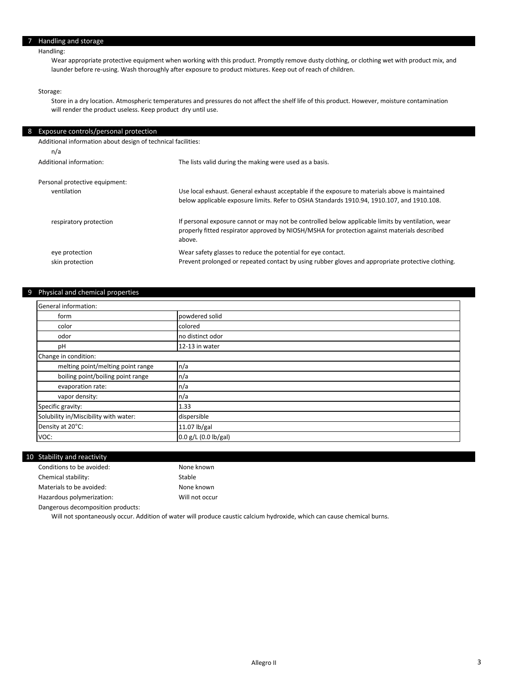## Handling:

Wear appropriate protective equipment when working with this product. Promptly remove dusty clothing, or clothing wet with product mix, and launder before re-using. Wash thoroughly after exposure to product mixtures. Keep out of reach of children.

#### Storage:

×

Store in a dry location. Atmospheric temperatures and pressures do not affect the shelf life of this product. However, moisture contamination will render the product useless. Keep product dry until use.

| 8 Exposure controls/personal protection                      |                                                                                                        |  |
|--------------------------------------------------------------|--------------------------------------------------------------------------------------------------------|--|
| Additional information about design of technical facilities: |                                                                                                        |  |
| n/a                                                          |                                                                                                        |  |
| Additional information:                                      | The lists valid during the making were used as a basis.                                                |  |
|                                                              |                                                                                                        |  |
| Personal protective equipment:                               |                                                                                                        |  |
| ventilation                                                  | Use local exhaust. General exhaust acceptable if the exposure to materials above is maintained         |  |
|                                                              | below applicable exposure limits. Refer to OSHA Standards 1910.94, 1910.107, and 1910.108.             |  |
| respiratory protection                                       | If personal exposure cannot or may not be controlled below applicable limits by ventilation, wear      |  |
|                                                              | properly fitted respirator approved by NIOSH/MSHA for protection against materials described<br>above. |  |
| eye protection                                               | Wear safety glasses to reduce the potential for eye contact.                                           |  |
| skin protection                                              | Prevent prolonged or repeated contact by using rubber gloves and appropriate protective clothing.      |  |

## 9 Physical and chemical properties

| General information:                  |                      |
|---------------------------------------|----------------------|
| form                                  | powdered solid       |
| color                                 | colored              |
| odor                                  | no distinct odor     |
| рH                                    | 12-13 in water       |
| Change in condition:                  |                      |
| melting point/melting point range     | n/a                  |
| boiling point/boiling point range     | n/a                  |
| evaporation rate:                     | n/a                  |
| vapor density:                        | n/a                  |
| Specific gravity:                     | 1.33                 |
| Solubility in/Miscibility with water: | dispersible          |
| Density at 20°C:                      | 11.07 $ b/gal$       |
| VOC:                                  | 0.0 g/L (0.0 lb/gal) |

#### 10 Stability and reactivity

| Conditions to be avoided: | None known     |
|---------------------------|----------------|
| Chemical stability:       | Stable         |
| Materials to be avoided:  | None known     |
| Hazardous polymerization: | Will not occur |

Dangerous decomposition products:

Will not spontaneously occur. Addition of water will produce caustic calcium hydroxide, which can cause chemical burns.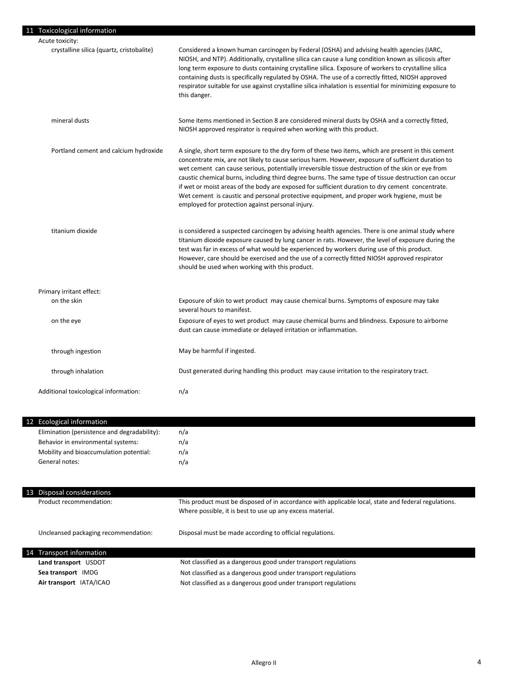| Considered a known human carcinogen by Federal (OSHA) and advising health agencies (IARC,<br>NIOSH, and NTP). Additionally, crystalline silica can cause a lung condition known as silicosis after<br>long term exposure to dusts containing crystalline silica. Exposure of workers to crystalline silica<br>containing dusts is specifically regulated by OSHA. The use of a correctly fitted, NIOSH approved<br>respirator suitable for use against crystalline silica inhalation is essential for minimizing exposure to<br>this danger.<br>Some items mentioned in Section 8 are considered mineral dusts by OSHA and a correctly fitted,<br>NIOSH approved respirator is required when working with this product. |
|-------------------------------------------------------------------------------------------------------------------------------------------------------------------------------------------------------------------------------------------------------------------------------------------------------------------------------------------------------------------------------------------------------------------------------------------------------------------------------------------------------------------------------------------------------------------------------------------------------------------------------------------------------------------------------------------------------------------------|
|                                                                                                                                                                                                                                                                                                                                                                                                                                                                                                                                                                                                                                                                                                                         |
|                                                                                                                                                                                                                                                                                                                                                                                                                                                                                                                                                                                                                                                                                                                         |
|                                                                                                                                                                                                                                                                                                                                                                                                                                                                                                                                                                                                                                                                                                                         |
| A single, short term exposure to the dry form of these two items, which are present in this cement<br>concentrate mix, are not likely to cause serious harm. However, exposure of sufficient duration to<br>wet cement can cause serious, potentially irreversible tissue destruction of the skin or eye from<br>caustic chemical burns, including third degree burns. The same type of tissue destruction can occur<br>if wet or moist areas of the body are exposed for sufficient duration to dry cement concentrate.<br>Wet cement is caustic and personal protective equipment, and proper work hygiene, must be<br>employed for protection against personal injury.                                               |
| is considered a suspected carcinogen by advising health agencies. There is one animal study where<br>titanium dioxide exposure caused by lung cancer in rats. However, the level of exposure during the<br>test was far in excess of what would be experienced by workers during use of this product.<br>However, care should be exercised and the use of a correctly fitted NIOSH approved respirator<br>should be used when working with this product.                                                                                                                                                                                                                                                                |
|                                                                                                                                                                                                                                                                                                                                                                                                                                                                                                                                                                                                                                                                                                                         |
| Exposure of skin to wet product may cause chemical burns. Symptoms of exposure may take<br>several hours to manifest.                                                                                                                                                                                                                                                                                                                                                                                                                                                                                                                                                                                                   |
| Exposure of eyes to wet product may cause chemical burns and blindness. Exposure to airborne<br>dust can cause immediate or delayed irritation or inflammation.                                                                                                                                                                                                                                                                                                                                                                                                                                                                                                                                                         |
| May be harmful if ingested.                                                                                                                                                                                                                                                                                                                                                                                                                                                                                                                                                                                                                                                                                             |
| Dust generated during handling this product may cause irritation to the respiratory tract.                                                                                                                                                                                                                                                                                                                                                                                                                                                                                                                                                                                                                              |
| n/a                                                                                                                                                                                                                                                                                                                                                                                                                                                                                                                                                                                                                                                                                                                     |
|                                                                                                                                                                                                                                                                                                                                                                                                                                                                                                                                                                                                                                                                                                                         |
| n/a                                                                                                                                                                                                                                                                                                                                                                                                                                                                                                                                                                                                                                                                                                                     |
| n/a                                                                                                                                                                                                                                                                                                                                                                                                                                                                                                                                                                                                                                                                                                                     |
|                                                                                                                                                                                                                                                                                                                                                                                                                                                                                                                                                                                                                                                                                                                         |

| 13 | Disposal considerations              |                                                                                                                                                                   |
|----|--------------------------------------|-------------------------------------------------------------------------------------------------------------------------------------------------------------------|
|    | Product recommendation:              | This product must be disposed of in accordance with applicable local, state and federal regulations.<br>Where possible, it is best to use up any excess material. |
|    | Uncleansed packaging recommendation: | Disposal must be made according to official regulations.                                                                                                          |
| 14 | Transport information                |                                                                                                                                                                   |
|    | Land transport USDOT                 | Not classified as a dangerous good under transport regulations                                                                                                    |
|    | Sea transport IMDG                   | Not classified as a dangerous good under transport regulations                                                                                                    |
|    | Air transport IATA/ICAO              | Not classified as a dangerous good under transport regulations                                                                                                    |

n/a

n/a

Mobility and bioaccumulation potential:

General notes: